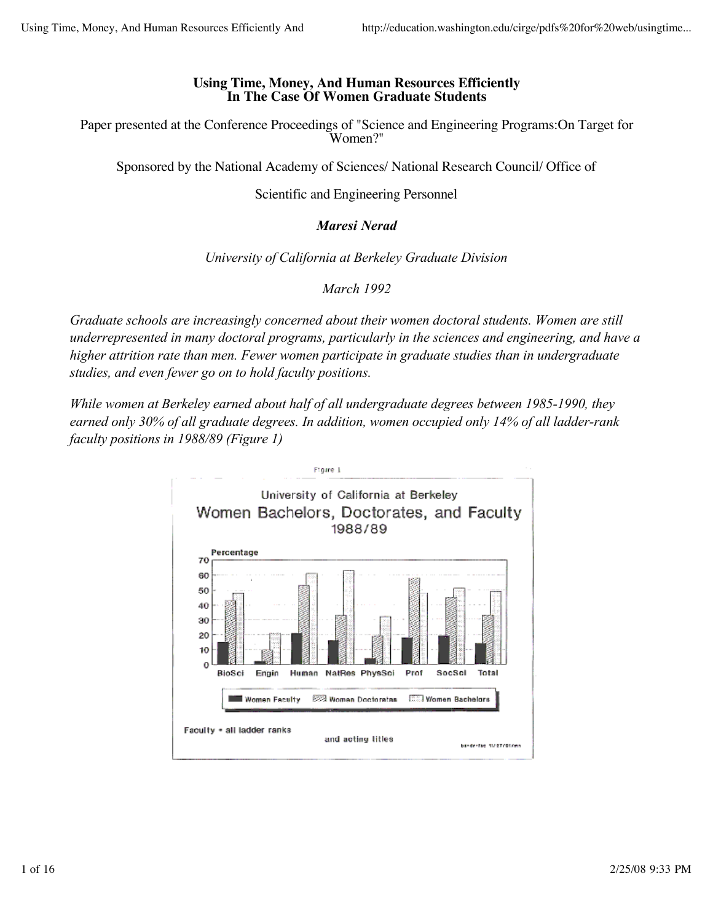## **Using Time, Money, And Human Resources Efficiently In The Case Of Women Graduate Students**

Paper presented at the Conference Proceedings of "Science and Engineering Programs:On Target for Women?"

Sponsored by the National Academy of Sciences/ National Research Council/ Office of

Scientific and Engineering Personnel

# *Maresi Nerad*

## *University of California at Berkeley Graduate Division*

*March 1992* 

*Graduate schools are increasingly concerned about their women doctoral students. Women are still underrepresented in many doctoral programs, particularly in the sciences and engineering, and have a higher attrition rate than men. Fewer women participate in graduate studies than in undergraduate studies, and even fewer go on to hold faculty positions.*

*While women at Berkeley earned about half of all undergraduate degrees between 1985-1990, they earned only 30% of all graduate degrees. In addition, women occupied only 14% of all ladder-rank faculty positions in 1988/89 (Figure 1)*

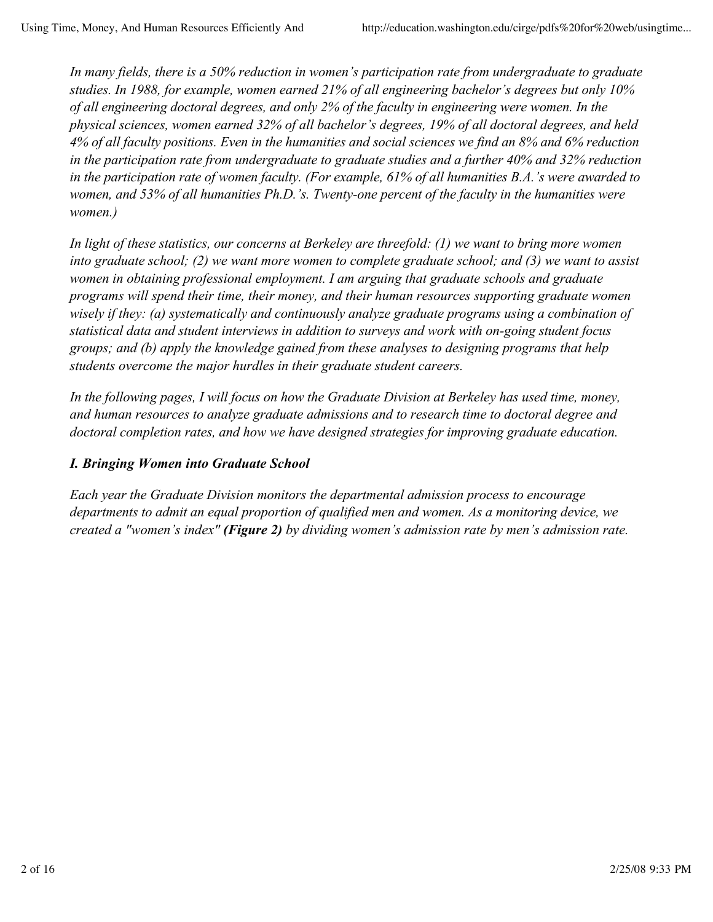*In many fields, there is a 50% reduction in women's participation rate from undergraduate to graduate studies. In 1988, for example, women earned 21% of all engineering bachelor's degrees but only 10% of all engineering doctoral degrees, and only 2% of the faculty in engineering were women. In the physical sciences, women earned 32% of all bachelor's degrees, 19% of all doctoral degrees, and held 4% of all faculty positions. Even in the humanities and social sciences we find an 8% and 6% reduction in the participation rate from undergraduate to graduate studies and a further 40% and 32% reduction in the participation rate of women faculty. (For example, 61% of all humanities B.A.'s were awarded to women, and 53% of all humanities Ph.D.'s. Twenty-one percent of the faculty in the humanities were women.)*

*In light of these statistics, our concerns at Berkeley are threefold: (1) we want to bring more women into graduate school; (2) we want more women to complete graduate school; and (3) we want to assist women in obtaining professional employment. I am arguing that graduate schools and graduate programs will spend their time, their money, and their human resources supporting graduate women wisely if they: (a) systematically and continuously analyze graduate programs using a combination of statistical data and student interviews in addition to surveys and work with on-going student focus groups; and (b) apply the knowledge gained from these analyses to designing programs that help students overcome the major hurdles in their graduate student careers.*

*In the following pages, I will focus on how the Graduate Division at Berkeley has used time, money, and human resources to analyze graduate admissions and to research time to doctoral degree and doctoral completion rates, and how we have designed strategies for improving graduate education.*

## *I. Bringing Women into Graduate School*

*Each year the Graduate Division monitors the departmental admission process to encourage departments to admit an equal proportion of qualified men and women. As a monitoring device, we created a "women's index" (Figure 2) by dividing women's admission rate by men's admission rate.*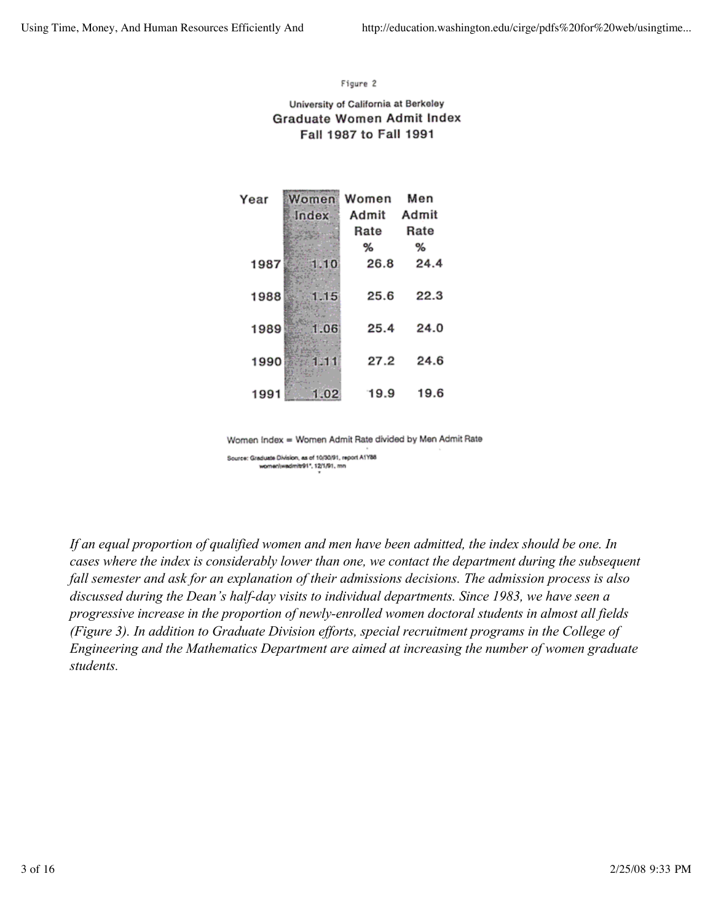### Figure 2

### University of California at Berkeley Graduate Women Admit Index Fall 1987 to Fall 1991

| Year | Women        | Women | Men   |
|------|--------------|-------|-------|
|      | <b>Index</b> | Admit | Admit |
|      |              | Rate  | Rate  |
|      |              | %     | %     |
| 1987 |              | 26.8  | 24.4  |
| 1988 | 15           | 25.6  | 22.3  |
| 1989 | 06           | 25.4  | 24.0  |
| 1990 |              | 27.2  | 24.6  |
| 1991 | 1.02         | 19.9  | 19.6  |

Women Index = Women Admit Rate divided by Men Admit Rate

Source: Graduate Division, as of 10/30/91, report A1Y88 women/wadmitr91", 12/1/91, mn

*If an equal proportion of qualified women and men have been admitted, the index should be one. In cases where the index is considerably lower than one, we contact the department during the subsequent fall semester and ask for an explanation of their admissions decisions. The admission process is also discussed during the Dean's half-day visits to individual departments. Since 1983, we have seen a progressive increase in the proportion of newly-enrolled women doctoral students in almost all fields (Figure 3). In addition to Graduate Division efforts, special recruitment programs in the College of Engineering and the Mathematics Department are aimed at increasing the number of women graduate students.*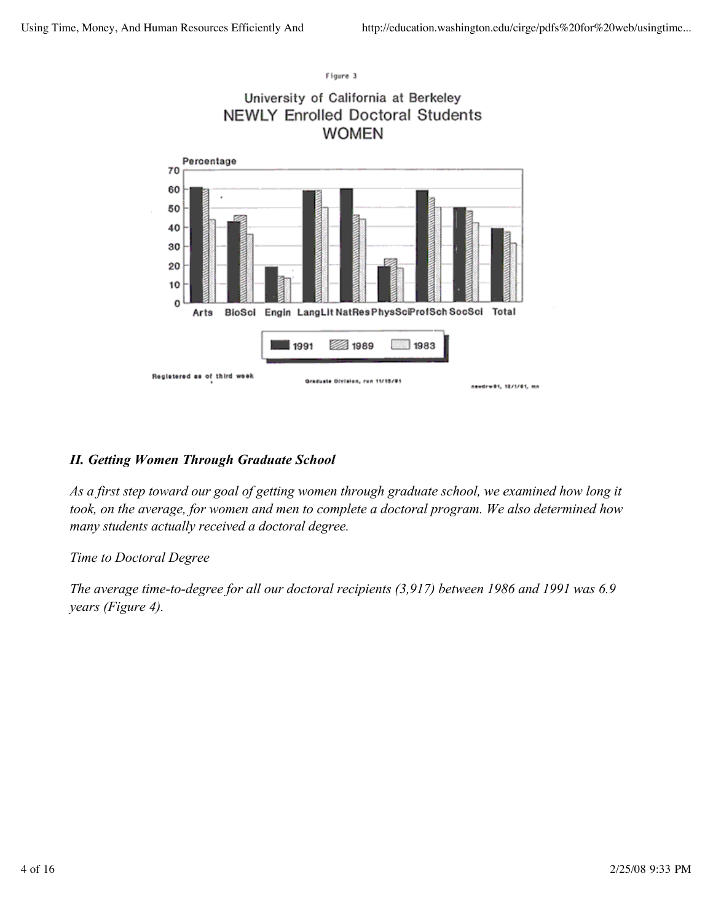

## *II. Getting Women Through Graduate School*

*As a first step toward our goal of getting women through graduate school, we examined how long it took, on the average, for women and men to complete a doctoral program. We also determined how many students actually received a doctoral degree.*

## *Time to Doctoral Degree*

*The average time-to-degree for all our doctoral recipients (3,917) between 1986 and 1991 was 6.9 years (Figure 4).*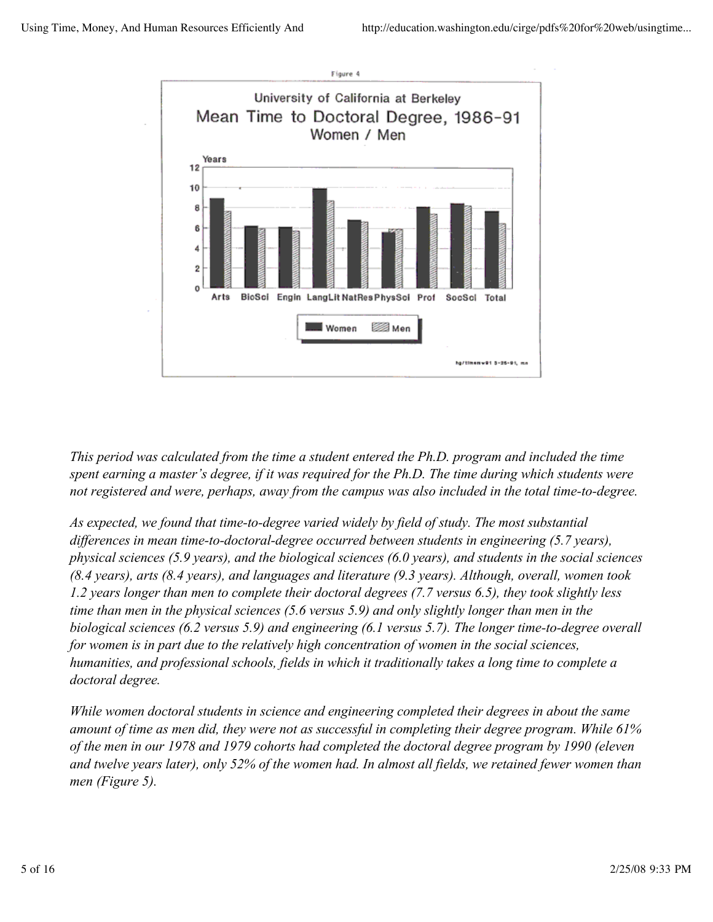

*This period was calculated from the time a student entered the Ph.D. program and included the time spent earning a master's degree, if it was required for the Ph.D. The time during which students were not registered and were, perhaps, away from the campus was also included in the total time-to-degree.*

*As expected, we found that time-to-degree varied widely by field of study. The most substantial differences in mean time-to-doctoral-degree occurred between students in engineering (5.7 years), physical sciences (5.9 years), and the biological sciences (6.0 years), and students in the social sciences (8.4 years), arts (8.4 years), and languages and literature (9.3 years). Although, overall, women took 1.2 years longer than men to complete their doctoral degrees (7.7 versus 6.5), they took slightly less time than men in the physical sciences (5.6 versus 5.9) and only slightly longer than men in the biological sciences (6.2 versus 5.9) and engineering (6.1 versus 5.7). The longer time-to-degree overall for women is in part due to the relatively high concentration of women in the social sciences, humanities, and professional schools, fields in which it traditionally takes a long time to complete a doctoral degree.*

*While women doctoral students in science and engineering completed their degrees in about the same amount of time as men did, they were not as successful in completing their degree program. While 61% of the men in our 1978 and 1979 cohorts had completed the doctoral degree program by 1990 (eleven and twelve years later), only 52% of the women had. In almost all fields, we retained fewer women than men (Figure 5).*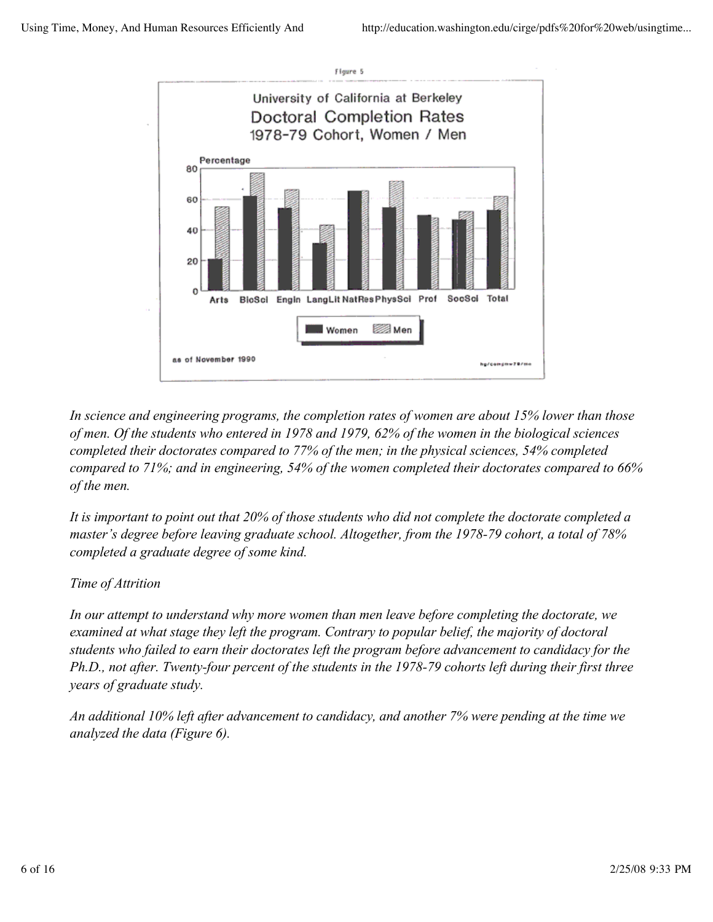

*In science and engineering programs, the completion rates of women are about 15% lower than those of men. Of the students who entered in 1978 and 1979, 62% of the women in the biological sciences completed their doctorates compared to 77% of the men; in the physical sciences, 54% completed compared to 71%; and in engineering, 54% of the women completed their doctorates compared to 66% of the men.*

*It is important to point out that 20% of those students who did not complete the doctorate completed a master's degree before leaving graduate school. Altogether, from the 1978-79 cohort, a total of 78% completed a graduate degree of some kind.*

## *Time of Attrition*

*In our attempt to understand why more women than men leave before completing the doctorate, we examined at what stage they left the program. Contrary to popular belief, the majority of doctoral students who failed to earn their doctorates left the program before advancement to candidacy for the Ph.D., not after. Twenty-four percent of the students in the 1978-79 cohorts left during their first three years of graduate study.*

*An additional 10% left after advancement to candidacy, and another 7% were pending at the time we analyzed the data (Figure 6).*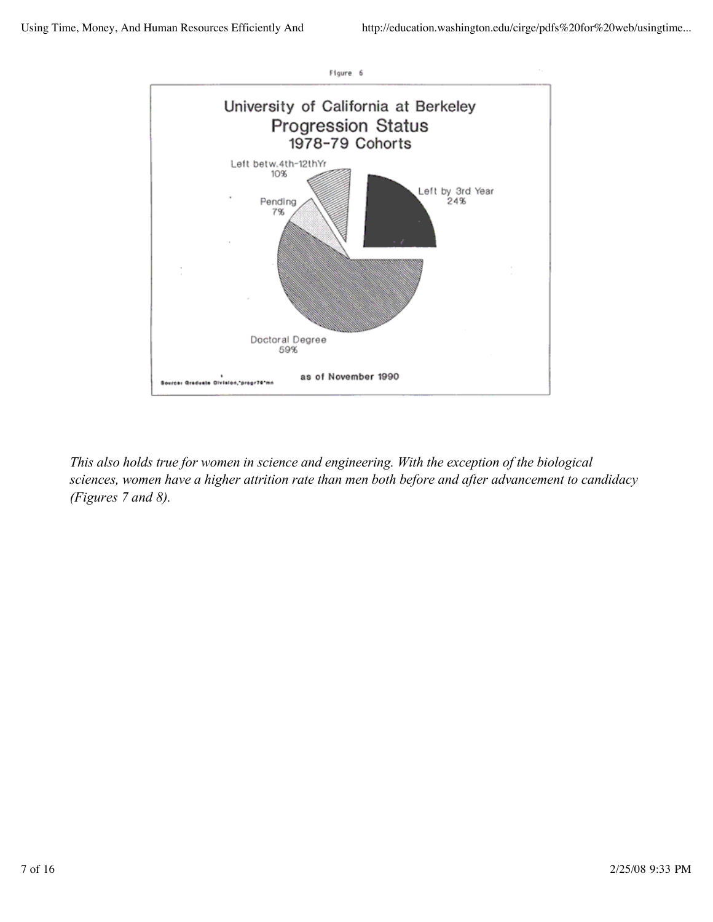

*This also holds true for women in science and engineering. With the exception of the biological sciences, women have a higher attrition rate than men both before and after advancement to candidacy (Figures 7 and 8).*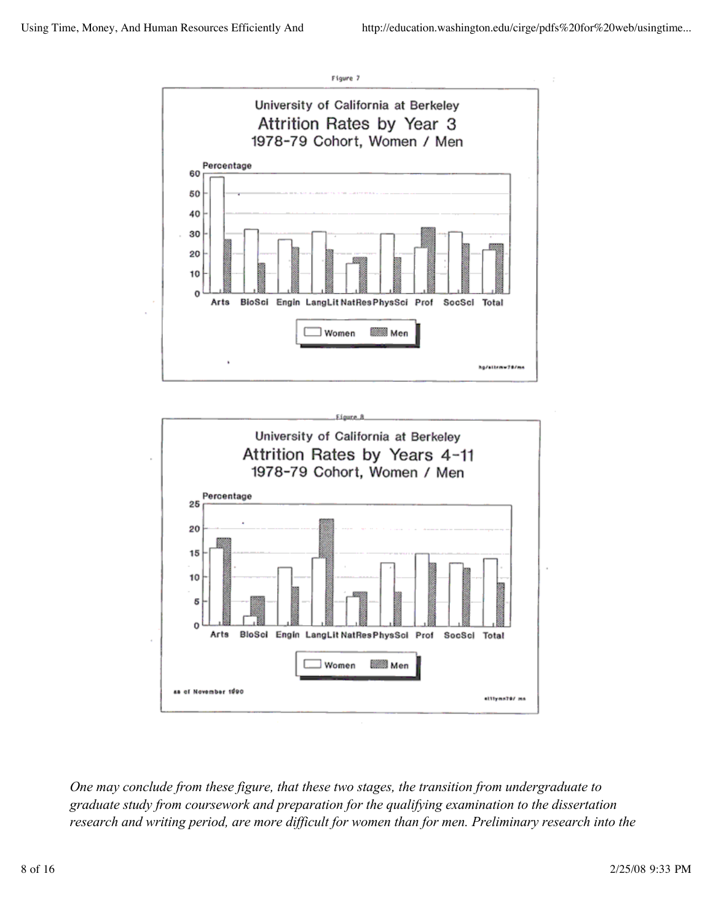



*One may conclude from these figure, that these two stages, the transition from undergraduate to graduate study from coursework and preparation for the qualifying examination to the dissertation research and writing period, are more difficult for women than for men. Preliminary research into the*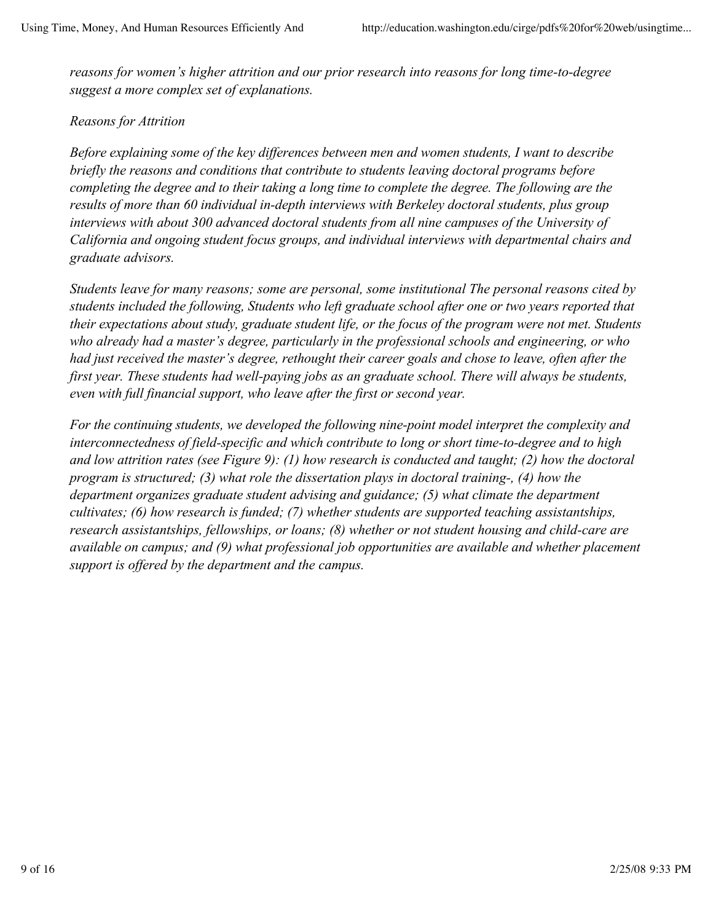*reasons for women's higher attrition and our prior research into reasons for long time-to-degree suggest a more complex set of explanations.*

# *Reasons for Attrition*

*Before explaining some of the key differences between men and women students, I want to describe briefly the reasons and conditions that contribute to students leaving doctoral programs before completing the degree and to their taking a long time to complete the degree. The following are the results of more than 60 individual in-depth interviews with Berkeley doctoral students, plus group interviews with about 300 advanced doctoral students from all nine campuses of the University of California and ongoing student focus groups, and individual interviews with departmental chairs and graduate advisors.*

*Students leave for many reasons; some are personal, some institutional The personal reasons cited by students included the following, Students who left graduate school after one or two years reported that their expectations about study, graduate student life, or the focus of the program were not met. Students who already had a master's degree, particularly in the professional schools and engineering, or who had just received the master's degree, rethought their career goals and chose to leave, often after the first year. These students had well-paying jobs as an graduate school. There will always be students, even with full financial support, who leave after the first or second year.*

*For the continuing students, we developed the following nine-point model interpret the complexity and interconnectedness of field-specific and which contribute to long or short time-to-degree and to high and low attrition rates (see Figure 9): (1) how research is conducted and taught; (2) how the doctoral program is structured; (3) what role the dissertation plays in doctoral training-, (4) how the department organizes graduate student advising and guidance; (5) what climate the department cultivates; (6) how research is funded; (7) whether students are supported teaching assistantships, research assistantships, fellowships, or loans; (8) whether or not student housing and child-care are available on campus; and (9) what professional job opportunities are available and whether placement support is offered by the department and the campus.*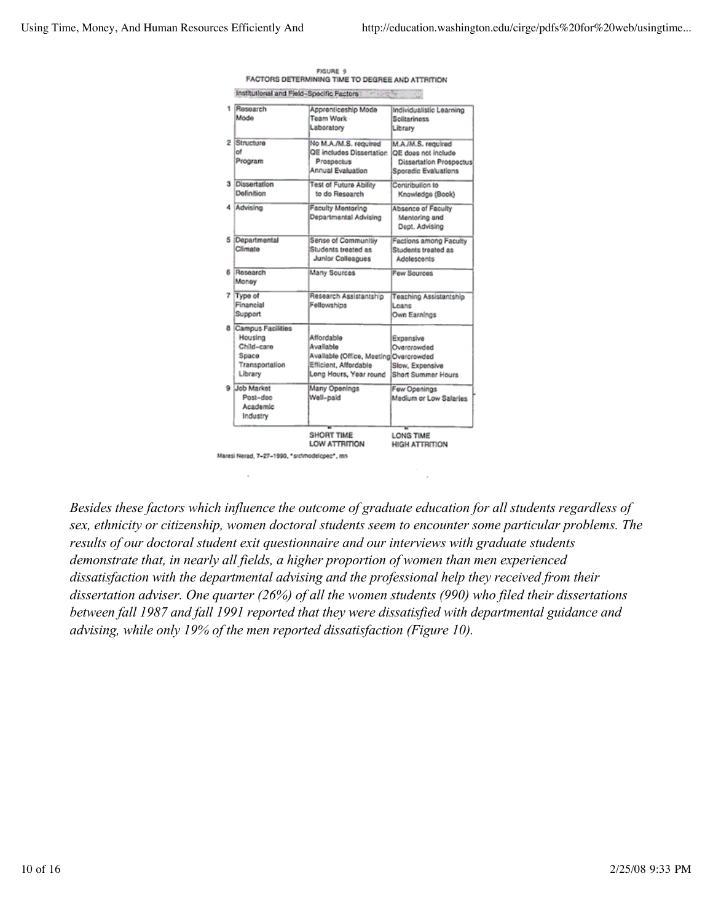| Institutional and Field-Specific Factors                                           | <b>Controller</b>                                                                                                    |                                                                                              |
|------------------------------------------------------------------------------------|----------------------------------------------------------------------------------------------------------------------|----------------------------------------------------------------------------------------------|
| Research<br>Mode                                                                   | Apprenticeship Mode<br>Team Work<br>Laboratory                                                                       | Individualistic Learning<br><b>Solitariness</b><br>Library                                   |
| 2 Structure<br>of<br>Program                                                       | No M.A./M.S. required<br>QE includes Dissertation<br>Prospectus<br>Annual Evaluation                                 | M.A./M.S. required<br>OE does not include<br>Dissertation Prospectus<br>Sporadic Evaluations |
| 3 Dissertation<br>Definition                                                       | <b>Test of Future Ability</b><br>to do Research                                                                      | Contribution to<br>Knowledge (Book)                                                          |
| 4 Advising                                                                         | <b>Faculty Mentoring</b><br>Departmental Advising                                                                    | Absence of Faculty<br>Mentoring and<br>Dept. Advising                                        |
| 5 Departmental<br>Climate                                                          | Sense of Communitiy<br>Students treated as<br>Junior Colleagues                                                      | Factions among Faculty<br>Students treated as<br>Adolescents                                 |
| 6 Research<br>Maney                                                                | Many Sources                                                                                                         | <b>Few Sources</b>                                                                           |
| 7 Type of<br>Financial<br>Support                                                  | Research Assistantship<br>Fellowships                                                                                | Teaching Assistantship<br>Leans<br>Own Earnings                                              |
| 8 Campus Facilities<br>Housing<br>Child-care<br>Space<br>Transportation<br>Library | Affordable<br>Available<br>Available (Office, Meeting Overcrowded<br>Efficient, Affordable<br>Long Hours, Year round | Expensive<br>Overcrowded<br>Slow, Expensive<br>Short Summer Hours                            |
| 9 Job Market<br>Post-doc<br>Academic<br>Industry                                   | Many Openings<br>Well-paid                                                                                           | Few Openings<br>Medium or Low Salaries                                                       |
|                                                                                    | <b>SHORT TIME</b><br>LOW ATTRITION                                                                                   | <b>LONG TIME</b><br><b>HIGH ATTRITION</b>                                                    |

| <b>FIGURE 9</b>                                       |  |
|-------------------------------------------------------|--|
| FACTORS DETERMINING TIME TO DEGREE AND ATTRITION      |  |
| Institutional and Field-Specific Fectors 11 1996 1999 |  |

Maresi Nerad, 7-27-1990, "srcimodelopec", mn

*Besides these factors which influence the outcome of graduate education for all students regardless of sex, ethnicity or citizenship, women doctoral students seem to encounter some particular problems. The results of our doctoral student exit questionnaire and our interviews with graduate students demonstrate that, in nearly all fields, a higher proportion of women than men experienced dissatisfaction with the departmental advising and the professional help they received from their dissertation adviser. One quarter (26%) of all the women students (990) who filed their dissertations between fall 1987 and fall 1991 reported that they were dissatisfied with departmental guidance and advising, while only 19% of the men reported dissatisfaction (Figure 10).*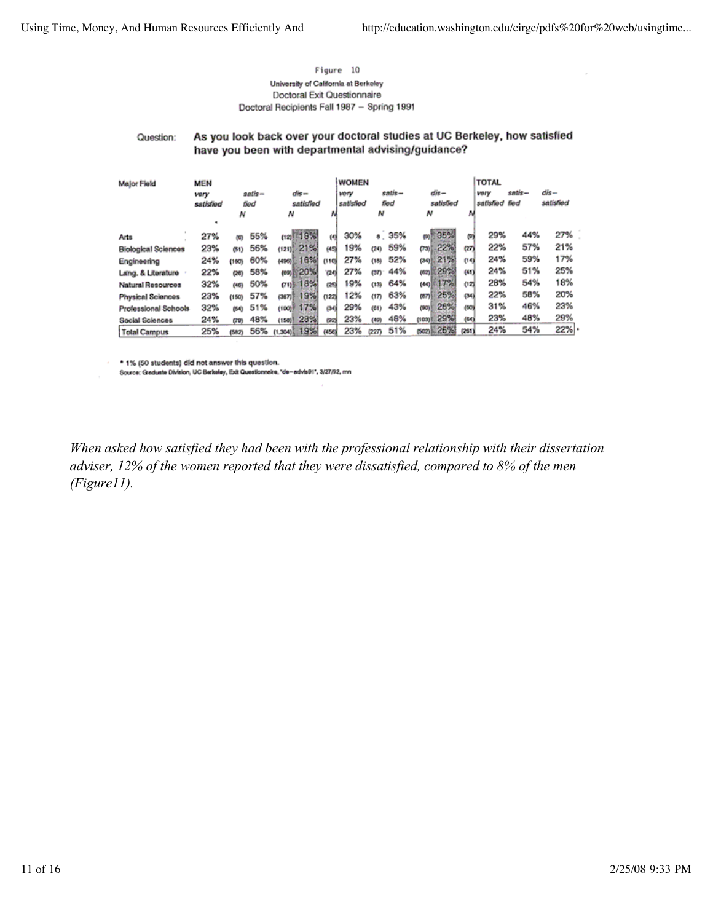### Figure 10 University of California at Berkeley Doctoral Exit Questionnaire Doctoral Recipients Fall 1987 - Spring 1991

#### As you look back over your doctoral studies at UC Berkeley, how satisfied Question: have you been with departmental advising/guidance?

| <b>Major Field</b>          | <b>MEN</b> |       |             |                          |          | <b>WOMEN</b> |       |        |                |       | <b>TOTAL</b> |         |           |
|-----------------------------|------------|-------|-------------|--------------------------|----------|--------------|-------|--------|----------------|-------|--------------|---------|-----------|
|                             | very       |       | $satisfi -$ | dis-                     |          | very         |       | satis- | dis-           |       | vory         | satis – | dis-      |
|                             | satisfied  |       | fied        | satisfied                |          | satisfied    |       | fied   | satisfied      |       | satisfied    | fied    | satisfied |
|                             |            | N     |             | N                        | Ν        |              | Ν     |        | N              |       |              |         |           |
|                             | ٠          |       |             |                          |          |              |       |        |                |       |              |         |           |
| Arts                        | 27%        | 侮     | 55%         | $(12)$ $18%$             | $^{(4)}$ | 30%          |       | s 35%  | 35%<br>(B)     | 问     | 29%          | 44%     | 27%       |
| <b>Biological Sciences</b>  | 23%        | (51)  | 56%         | $-21%$<br>(121)          | (45)     | 19%          | (24)  | 59%    | 22%<br>(73)    | (27)  | 22%          | 57%     | 21%       |
| Engineering                 | 24%        | (160) | 60%         | 16%<br>(495)             | (110)    | 27%          | (18)  | 52%    | 21%<br>(34)    | (14)  | 24%          | 59%     | 17%       |
| Lang. & Literature          | 22%        | (26)  | 58%         | 20%<br>(69) <sup>E</sup> | (24)     | 27%          | (37)  | 44%    | 29%<br>(62)    | (41)  | 24%          | 51%     | 25%       |
| <b>Natural Resources</b>    | 32%        | (46)  | 50%         | 18%<br>(71)              | (25)     | 19%          | (13)  | 64%    | - 1721<br>(44) | (12)  | 28%          | 54%     | 18%       |
| <b>Physical Sciences</b>    | 23%        | (150) | 57%         | 19%<br>$(387)$ .         | (122)    | 12%          | (17)  | 63%    | 25%<br>ຫ기      | (34)  | 22%          | 58%     | 20%       |
| <b>Professional Schools</b> | 32%        | (64)  | 51%         | 17%<br>(100)             | (34)     | 29%          | (61)  | 43%    | 28%<br>(90)    | (CO)  | 31%          | 46%     | 23%       |
| <b>Social Sciences</b>      | 24%        | (79)  | 48%         | 28%<br>(158)             | (92)     | 23%          | (49)  | 48%    | 29%<br>(1030)  | (64)  | 23%          | 48%     | 29%       |
| <b>Total Campus</b>         | 25%        | (582) | 56%         | 19%<br>100C(1)           | (456)    | 23%          | (227) | 51%    | $(502)$ $26%$  | (261) | 24%          | 54%     | 22%       |

\* 1% (50 students) did not answer this question.

Source: Graduate Division, UC Berkeley, Exit Questionneke, 'de-advis91', 3/27/92, mn

*When asked how satisfied they had been with the professional relationship with their dissertation adviser, 12% of the women reported that they were dissatisfied, compared to 8% of the men (Figure11).*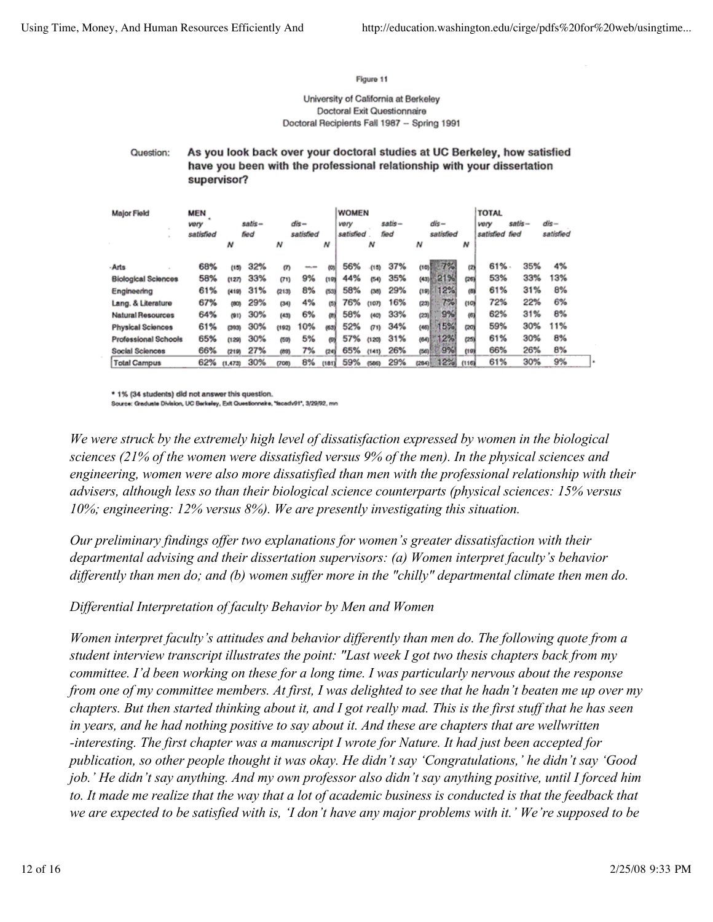### Figure 11

### University of California at Berkeley Doctoral Exit Questionnaire Doctoral Recipients Fall 1987 - Spring 1991

#### Question: As you look back over your doctoral studies at UC Berkeley, how satisfied have you been with the professional relationship with your dissertation supervisor?

| <b>Major Field</b><br>$\overline{a}$ | MEN<br><b>VO/Y</b><br>satisfied | satis-<br>fied |     | dis –<br>satisfied |     |       | <b>WOMEN</b><br>satis-<br>very<br>satisfied<br>fied |       |     | dis-<br>satisfied |       | <b>TOTAL</b><br>very<br>satisfied fied | satis- | $dis-$<br>satisfied |  |
|--------------------------------------|---------------------------------|----------------|-----|--------------------|-----|-------|-----------------------------------------------------|-------|-----|-------------------|-------|----------------------------------------|--------|---------------------|--|
|                                      |                                 | N              |     | N                  |     | N     |                                                     | N     |     | N                 | Ν     |                                        |        |                     |  |
| - Arts                               | 68%                             | (15)           | 32% | m                  | --  | 00%   | 56%                                                 | (15)  | 37% | (1미)              | ø     | 61%                                    | 35%    | 4%                  |  |
| <b>Biological Sciences</b>           | 58%                             | (127)          | 33% | (T1)               | 9%  | (19)  | 44%                                                 | (54)  | 35% | 21%<br>(43)       | (26)  | 53%                                    | 33%    | 13%                 |  |
| Engineering                          | 61%                             | (419)          | 31% | (213)              | 8%  | (53)  | 58%                                                 | (38)  | 29% | 12%<br>(19)       | 65    | 61%                                    | 31%    | 8%                  |  |
| Lang. & Literature                   | 67%                             | (80)           | 29% | (34)               | 4%  | (5)   | 76%                                                 | (107) | 16% | 7%!<br>(23)       | (10)  | 72%                                    | 22%    | 6%                  |  |
| <b>Natural Resources</b>             | 64%                             | (91)           | 30% | (43)               | 6%  | (b)   | 58%                                                 | (40)  | 33% | 9%<br>(23)        | (6)   | 62%                                    | 31%    | 8%                  |  |
| <b>Physical Sciences</b>             | 61%                             | (393)          | 30% | (192)              | 10% | (63)  | 52%                                                 | (71)  | 34% | 15%<br>(46)       | col   | 59%                                    | 30%    | 11%                 |  |
| <b>Professional Schools</b>          | 65%                             | (129)          | 30% | (50)               | 5%  | ω     | 57%                                                 | (120) | 31% | 2%<br>(64)        | (25)  | 61%                                    | 30%    | 8%                  |  |
| Social Sciences                      | 66%                             | (219)          | 27% | (89)               | 7%  | (24)  | 65%                                                 | (141) | 26% | 9%<br>(56)        | (10)  | 66%                                    | 26%    | 8%                  |  |
| <b>Total Campus</b>                  | 62%                             | (1,473)        | 30% | (700)              | 8%  | (181) | 59%                                                 | (566) | 29% | 12%<br>(284)      | (116) | 61%                                    | 30%    | 9%                  |  |

\* 1% (34 students) did not answer this question.

Source: Graduate Division, UC Berkeley, Exit Questionnaire, "facedv91", 3/29/92, mn

*We were struck by the extremely high level of dissatisfaction expressed by women in the biological sciences (21% of the women were dissatisfied versus 9% of the men). In the physical sciences and engineering, women were also more dissatisfied than men with the professional relationship with their advisers, although less so than their biological science counterparts (physical sciences: 15% versus 10%; engineering: 12% versus 8%). We are presently investigating this situation.*

*Our preliminary findings offer two explanations for women's greater dissatisfaction with their departmental advising and their dissertation supervisors: (a) Women interpret faculty's behavior differently than men do; and (b) women suffer more in the "chilly" departmental climate then men do.*

*Differential Interpretation of faculty Behavior by Men and Women*

*Women interpret faculty's attitudes and behavior differently than men do. The following quote from a student interview transcript illustrates the point: "Last week I got two thesis chapters back from my committee. I'd been working on these for a long time. I was particularly nervous about the response from one of my committee members. At first, I was delighted to see that he hadn't beaten me up over my chapters. But then started thinking about it, and I got really mad. This is the first stuff that he has seen in years, and he had nothing positive to say about it. And these are chapters that are wellwritten -interesting. The first chapter was a manuscript I wrote for Nature. It had just been accepted for publication, so other people thought it was okay. He didn't say 'Congratulations,' he didn't say 'Good job.' He didn't say anything. And my own professor also didn't say anything positive, until I forced him to. It made me realize that the way that a lot of academic business is conducted is that the feedback that we are expected to be satisfied with is, 'I don't have any major problems with it.' We're supposed to be*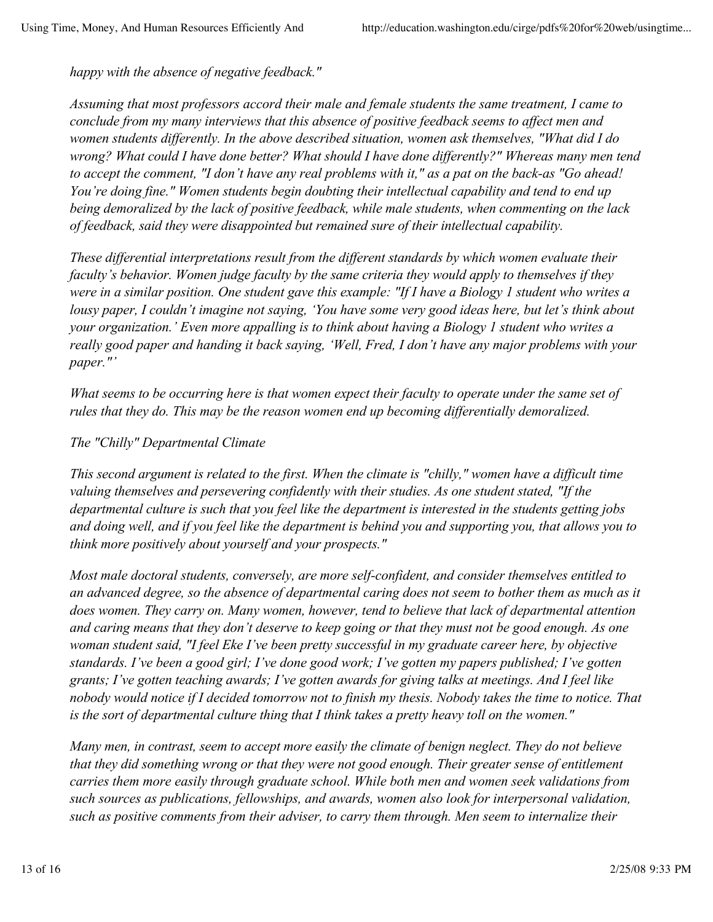*happy with the absence of negative feedback."*

*Assuming that most professors accord their male and female students the same treatment, I came to conclude from my many interviews that this absence of positive feedback seems to affect men and women students differently. In the above described situation, women ask themselves, "What did I do wrong? What could I have done better? What should I have done differently?" Whereas many men tend to accept the comment, "I don't have any real problems with it," as a pat on the back-as "Go ahead! You're doing fine." Women students begin doubting their intellectual capability and tend to end up being demoralized by the lack of positive feedback, while male students, when commenting on the lack of feedback, said they were disappointed but remained sure of their intellectual capability.*

*These differential interpretations result from the different standards by which women evaluate their faculty's behavior. Women judge faculty by the same criteria they would apply to themselves if they were in a similar position. One student gave this example: "If I have a Biology 1 student who writes a lousy paper, I couldn't imagine not saying, 'You have some very good ideas here, but let's think about your organization.' Even more appalling is to think about having a Biology 1 student who writes a really good paper and handing it back saying, 'Well, Fred, I don't have any major problems with your paper."'*

*What seems to be occurring here is that women expect their faculty to operate under the same set of rules that they do. This may be the reason women end up becoming differentially demoralized.*

# *The "Chilly" Departmental Climate*

*This second argument is related to the first. When the climate is "chilly," women have a difficult time valuing themselves and persevering confidently with their studies. As one student stated, "If the departmental culture is such that you feel like the department is interested in the students getting jobs and doing well, and if you feel like the department is behind you and supporting you, that allows you to think more positively about yourself and your prospects."*

*Most male doctoral students, conversely, are more self-confident, and consider themselves entitled to an advanced degree, so the absence of departmental caring does not seem to bother them as much as it does women. They carry on. Many women, however, tend to believe that lack of departmental attention and caring means that they don't deserve to keep going or that they must not be good enough. As one woman student said, "I feel Eke I've been pretty successful in my graduate career here, by objective standards. I've been a good girl; I've done good work; I've gotten my papers published; I've gotten grants; I've gotten teaching awards; I've gotten awards for giving talks at meetings. And I feel like nobody would notice if I decided tomorrow not to finish my thesis. Nobody takes the time to notice. That is the sort of departmental culture thing that I think takes a pretty heavy toll on the women."*

*Many men, in contrast, seem to accept more easily the climate of benign neglect. They do not believe that they did something wrong or that they were not good enough. Their greater sense of entitlement carries them more easily through graduate school. While both men and women seek validations from such sources as publications, fellowships, and awards, women also look for interpersonal validation, such as positive comments from their adviser, to carry them through. Men seem to internalize their*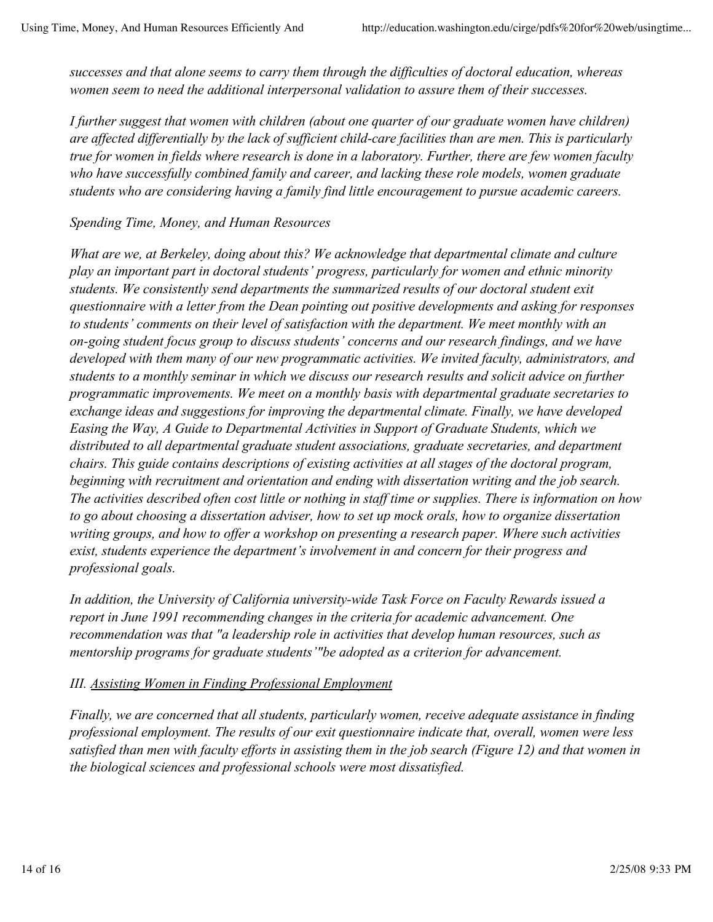*successes and that alone seems to carry them through the difficulties of doctoral education, whereas women seem to need the additional interpersonal validation to assure them of their successes.*

*I further suggest that women with children (about one quarter of our graduate women have children) are affected differentially by the lack of sufficient child-care facilities than are men. This is particularly true for women in fields where research is done in a laboratory. Further, there are few women faculty who have successfully combined family and career, and lacking these role models, women graduate students who are considering having a family find little encouragement to pursue academic careers.*

### *Spending Time, Money, and Human Resources*

*What are we, at Berkeley, doing about this? We acknowledge that departmental climate and culture play an important part in doctoral students' progress, particularly for women and ethnic minority students. We consistently send departments the summarized results of our doctoral student exit questionnaire with a letter from the Dean pointing out positive developments and asking for responses to students' comments on their level of satisfaction with the department. We meet monthly with an on-going student focus group to discuss students' concerns and our research findings, and we have developed with them many of our new programmatic activities. We invited faculty, administrators, and students to a monthly seminar in which we discuss our research results and solicit advice on further programmatic improvements. We meet on a monthly basis with departmental graduate secretaries to exchange ideas and suggestions for improving the departmental climate. Finally, we have developed Easing the Way, A Guide to Departmental Activities in Support of Graduate Students, which we distributed to all departmental graduate student associations, graduate secretaries, and department chairs. This guide contains descriptions of existing activities at all stages of the doctoral program, beginning with recruitment and orientation and ending with dissertation writing and the job search. The activities described often cost little or nothing in staff time or supplies. There is information on how to go about choosing a dissertation adviser, how to set up mock orals, how to organize dissertation writing groups, and how to offer a workshop on presenting a research paper. Where such activities exist, students experience the department's involvement in and concern for their progress and professional goals.*

*In addition, the University of California university-wide Task Force on Faculty Rewards issued a report in June 1991 recommending changes in the criteria for academic advancement. One recommendation was that "a leadership role in activities that develop human resources, such as mentorship programs for graduate students'"be adopted as a criterion for advancement.*

### *III. Assisting Women in Finding Professional Employment*

*Finally, we are concerned that all students, particularly women, receive adequate assistance in finding professional employment. The results of our exit questionnaire indicate that, overall, women were less satisfied than men with faculty efforts in assisting them in the job search (Figure 12) and that women in the biological sciences and professional schools were most dissatisfied.*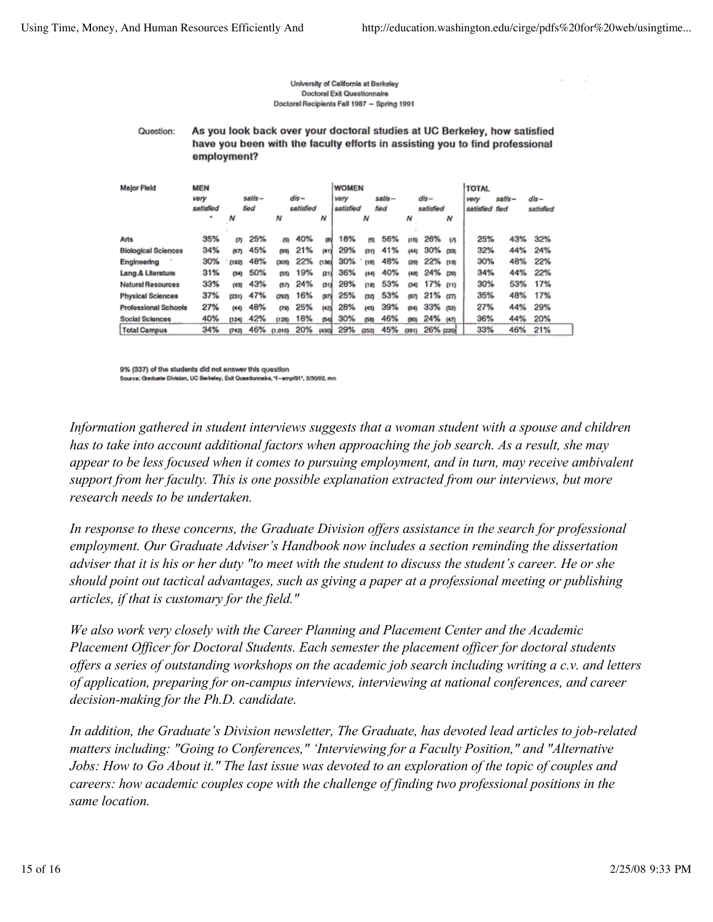$\mathcal{L}$ 

#### University of California at Berkeley **Doctoral Exit Questionnaire** Doctoral Recipients Fall 1987 - Spring 1991

#### Question: As you look back over your doctoral studies at UC Berkeley, how satisfied have you been with the faculty efforts in assisting you to find professional employment?

| <b>Major Field</b>         | MEN<br>satis-<br>vory<br>satisfied<br>fied |       |     | $dis-$<br>satisfied |     |       | <b>WOMEN</b><br>satis-<br>very<br>satisfied<br>lied |       |     | dis-<br>satisfied |             | <b>TOTAL</b><br>very<br>satisfied fied | satis- | dls-<br>satisfied |     |
|----------------------------|--------------------------------------------|-------|-----|---------------------|-----|-------|-----------------------------------------------------|-------|-----|-------------------|-------------|----------------------------------------|--------|-------------------|-----|
|                            | ٠                                          | N     |     | N                   |     | N     |                                                     | N     |     | Ν                 |             | Ν                                      |        |                   |     |
| Arts                       | 35%                                        | m     | 25% | 偽                   | 40% | œi    | 18%                                                 | (5)   | 56% | (15)              | 26%         | $\omega$                               | 25%    | 43%               | 32% |
| <b>Biological Sciences</b> | 34%                                        | (67)  | 45% | (89)                | 21% | (41)  | 29%                                                 | (31)  | 41% | (44)              | 30%         | (33)                                   | 32%    | 44%               | 24% |
| Engineering                | 30%                                        | (192) | 48% | යයා                 | 22% | (136) | 30%                                                 | (18)  | 48% | (20)              | 22% (13)    |                                        | 30%    | 48%               | 22% |
| Lang.& Literature          | 31%                                        | (34)  | 50% | 65                  | 19% | (21)  | 36%                                                 | (44)  | 40% | (48)              | 24% cm      |                                        | 34%    | 44%               | 22% |
| <b>Natural Resources</b>   | 33%                                        | (43)  | 43% | (57)                | 24% | ou    | 28%                                                 | (12)  | 53% | (34)              | 17% (11)    |                                        | 30%    | 53%               | 17% |
| <b>Physical Sciences</b>   | 37%                                        | (231) | 47% | (292)               | 16% | Ϲ     | 25%                                                 | (32)  | 53% | 师刀                | $21\%$ $cm$ |                                        | 35%    | 48%               | 17% |
| Professional Schools       | 27%                                        | (44)  | 48% | (79)                | 25% | (42)  | 28%                                                 | (45)  | 39% | (64)              | 33% (53)    |                                        | 27%    | 44%               | 29% |
| Social Sciences            | 40%                                        | (124) | 42% | (128)               | 18% | (54)  | 30%                                                 | (50)  | 46% | (90)              | 24% (47)    |                                        | 36%    | 44%               | 20% |
| <b>Total Campus</b>        | 34%                                        | (742) | 46% | (1.010)             | 20% | (430) | 29%                                                 | (252) | 45% | (391)             | 26% (220)   |                                        | 33%    | 46%               | 21% |

9% (337) of the students did not answer this question Source: Graduate Division, UC Berkeley, Exit Questionnaire, "I - empl91", 3/30/92, mn

*Information gathered in student interviews suggests that a woman student with a spouse and children has to take into account additional factors when approaching the job search. As a result, she may appear to be less focused when it comes to pursuing employment, and in turn, may receive ambivalent support from her faculty. This is one possible explanation extracted from our interviews, but more research needs to be undertaken.*

*In response to these concerns, the Graduate Division offers assistance in the search for professional employment. Our Graduate Adviser's Handbook now includes a section reminding the dissertation adviser that it is his or her duty "to meet with the student to discuss the student's career. He or she should point out tactical advantages, such as giving a paper at a professional meeting or publishing articles, if that is customary for the field."*

*We also work very closely with the Career Planning and Placement Center and the Academic Placement Officer for Doctoral Students. Each semester the placement officer for doctoral students offers a series of outstanding workshops on the academic job search including writing a c.v. and letters of application, preparing for on-campus interviews, interviewing at national conferences, and career decision-making for the Ph.D. candidate.*

*In addition, the Graduate's Division newsletter, The Graduate, has devoted lead articles to job-related matters including: "Going to Conferences," 'Interviewing for a Faculty Position," and "Alternative Jobs: How to Go About it." The last issue was devoted to an exploration of the topic of couples and careers: how academic couples cope with the challenge of finding two professional positions in the same location.*